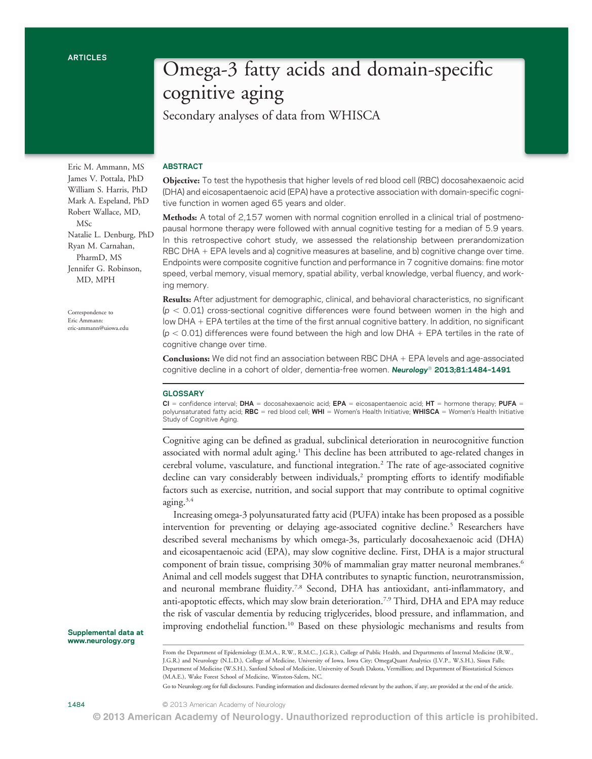Omega-3 fatty acids and domain-specific cognitive aging

Secondary analyses of data from WHISCA

## ABSTRACT

Objective: To test the hypothesis that higher levels of red blood cell (RBC) docosahexaenoic acid (DHA) and eicosapentaenoic acid (EPA) have a protective association with domain-specific cognitive function in women aged 65 years and older.

Methods: A total of 2,157 women with normal cognition enrolled in a clinical trial of postmenopausal hormone therapy were followed with annual cognitive testing for a median of 5.9 years. In this retrospective cohort study, we assessed the relationship between prerandomization RBC DHA + EPA levels and a) cognitive measures at baseline, and b) cognitive change over time. Endpoints were composite cognitive function and performance in 7 cognitive domains: fine motor speed, verbal memory, visual memory, spatial ability, verbal knowledge, verbal fluency, and working memory.

Results: After adjustment for demographic, clinical, and behavioral characteristics, no significant  $(p < 0.01)$  cross-sectional cognitive differences were found between women in the high and low DHA + EPA tertiles at the time of the first annual cognitive battery. In addition, no significant  $(p < 0.01)$  differences were found between the high and low DHA + EPA tertiles in the rate of cognitive change over time.

**Conclusions:** We did not find an association between RBC DHA  $+$  EPA levels and age-associated cognitive decline in a cohort of older, dementia-free women. Neurology® 2013;81:1484-1491

### **GLOSSARY**

 $CI =$  confidence interval; DHA = docosahexaenoic acid; EPA = eicosapentaenoic acid; HT = hormone therapy; PUFA = polyunsaturated fatty acid; RBC = red blood cell; WHI = Women's Health Initiative; WHISCA = Women's Health Initiative Study of Cognitive Aging.

Cognitive aging can be defined as gradual, subclinical deterioration in neurocognitive function associated with normal adult aging.1 This decline has been attributed to age-related changes in cerebral volume, vasculature, and functional integration.2 The rate of age-associated cognitive decline can vary considerably between individuals, $2$  prompting efforts to identify modifiable factors such as exercise, nutrition, and social support that may contribute to optimal cognitive aging. $3,4$ 

Increasing omega-3 polyunsaturated fatty acid (PUFA) intake has been proposed as a possible intervention for preventing or delaying age-associated cognitive decline.<sup>5</sup> Researchers have described several mechanisms by which omega-3s, particularly docosahexaenoic acid (DHA) and eicosapentaenoic acid (EPA), may slow cognitive decline. First, DHA is a major structural component of brain tissue, comprising 30% of mammalian gray matter neuronal membranes.<sup>6</sup> Animal and cell models suggest that DHA contributes to synaptic function, neurotransmission, and neuronal membrane fluidity.<sup>7,8</sup> Second, DHA has antioxidant, anti-inflammatory, and anti-apoptotic effects, which may slow brain deterioration.7,9 Third, DHA and EPA may reduce the risk of vascular dementia by reducing triglycerides, blood pressure, and inflammation, and improving endothelial function.10 Based on these physiologic mechanisms and results from

Supplemental data at [www.neurology.org](http://www.neurology.org)

Go to [Neurology.org](http://neurology.org/) for full disclosures. Funding information and disclosures deemed relevant by the authors, if any, are provided at the end of the article.

1484 **C** 2013 American Academy of Neurology

James V. Pottala, PhD William S. Harris, PhD Mark A. Espeland, PhD Robert Wallace, MD, MSc Natalie L. Denburg, PhD Ryan M. Carnahan, PharmD, MS Jennifer G. Robinson, MD, MPH

Eric M. Ammann, MS

Correspondence to Eric Ammann: [eric-ammann@uiowa.edu](mailto:eric-ammann@uiowa.edu)

From the Department of Epidemiology (E.M.A., R.W., R.M.C., J.G.R.), College of Public Health, and Departments of Internal Medicine (R.W., J.G.R.) and Neurology (N.L.D.), College of Medicine, University of Iowa, Iowa City; OmegaQuant Analytics (J.V.P., W.S.H.), Sioux Falls; Department of Medicine (W.S.H.), Sanford School of Medicine, University of South Dakota, Vermillion; and Department of Biostatistical Sciences (M.A.E.), Wake Forest School of Medicine, Winston-Salem, NC.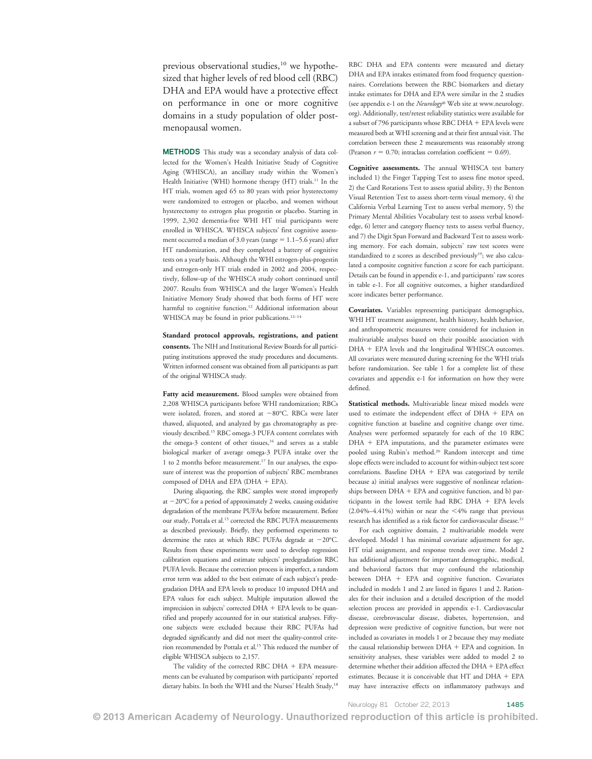previous observational studies,<sup>10</sup> we hypothesized that higher levels of red blood cell (RBC) DHA and EPA would have a protective effect on performance in one or more cognitive domains in a study population of older postmenopausal women.

METHODS This study was a secondary analysis of data collected for the Women's Health Initiative Study of Cognitive Aging (WHISCA), an ancillary study within the Women's Health Initiative (WHI) hormone therapy (HT) trials.<sup>11</sup> In the HT trials, women aged 65 to 80 years with prior hysterectomy were randomized to estrogen or placebo, and women without hysterectomy to estrogen plus progestin or placebo. Starting in 1999, 2,302 dementia-free WHI HT trial participants were enrolled in WHISCA. WHISCA subjects' first cognitive assessment occurred a median of 3.0 years (range  $= 1.1-5.6$  years) after HT randomization, and they completed a battery of cognitive tests on a yearly basis. Although the WHI estrogen-plus-progestin and estrogen-only HT trials ended in 2002 and 2004, respectively, follow-up of the WHISCA study cohort continued until 2007. Results from WHISCA and the larger Women's Health Initiative Memory Study showed that both forms of HT were harmful to cognitive function.<sup>12</sup> Additional information about WHISCA may be found in prior publications.<sup>12-14</sup>

Standard protocol approvals, registrations, and patient consents. The NIH and Institutional Review Boards for all participating institutions approved the study procedures and documents. Written informed consent was obtained from all participants as part of the original WHISCA study.

Fatty acid measurement. Blood samples were obtained from 2,208 WHISCA participants before WHI randomization; RBCs were isolated, frozen, and stored at  $-80^{\circ}$ C. RBCs were later thawed, aliquoted, and analyzed by gas chromatography as previously described.15 RBC omega-3 PUFA content correlates with the omega-3 content of other tissues,<sup>16</sup> and serves as a stable biological marker of average omega-3 PUFA intake over the 1 to 2 months before measurement.17 In our analyses, the exposure of interest was the proportion of subjects' RBC membranes composed of DHA and EPA (DHA  $+$  EPA).

During aliquoting, the RBC samples were stored improperly at  $-20^{\circ}$ C for a period of approximately 2 weeks, causing oxidative degradation of the membrane PUFAs before measurement. Before our study, Pottala et al.<sup>15</sup> corrected the RBC PUFA measurements as described previously. Briefly, they performed experiments to determine the rates at which RBC PUFAs degrade at  $-20^{\circ}$ C. Results from these experiments were used to develop regression calibration equations and estimate subjects' predegradation RBC PUFA levels. Because the correction process is imperfect, a random error term was added to the best estimate of each subject's predegradation DHA and EPA levels to produce 10 imputed DHA and EPA values for each subject. Multiple imputation allowed the imprecision in subjects' corrected  $DHA + EPA$  levels to be quantified and properly accounted for in our statistical analyses. Fiftyone subjects were excluded because their RBC PUFAs had degraded significantly and did not meet the quality-control criterion recommended by Pottala et al.<sup>15</sup> This reduced the number of eligible WHISCA subjects to 2,157.

The validity of the corrected RBC DHA  $+$  EPA measurements can be evaluated by comparison with participants' reported dietary habits. In both the WHI and the Nurses' Health Study,<sup>18</sup>

RBC DHA and EPA contents were measured and dietary DHA and EPA intakes estimated from food frequency questionnaires. Correlations between the RBC biomarkers and dietary intake estimates for DHA and EPA were similar in the 2 studies (see appendix e-1 on the Neurology® Web site at [www.neurology.](http://www.neurology.org) [org](http://www.neurology.org)). Additionally, test/retest reliability statistics were available for a subset of 796 participants whose RBC DHA  $+$  EPA levels were measured both at WHI screening and at their first annual visit. The correlation between these 2 measurements was reasonably strong (Pearson  $r = 0.70$ ; intraclass correlation coefficient = 0.69).

Cognitive assessments. The annual WHISCA test battery included 1) the Finger Tapping Test to assess fine motor speed, 2) the Card Rotations Test to assess spatial ability, 3) the Benton Visual Retention Test to assess short-term visual memory, 4) the California Verbal Learning Test to assess verbal memory, 5) the Primary Mental Abilities Vocabulary test to assess verbal knowledge, 6) letter and category fluency tests to assess verbal fluency, and 7) the Digit Span Forward and Backward Test to assess working memory. For each domain, subjects' raw test scores were standardized to  $z$  scores as described previously<sup>19</sup>; we also calculated a composite cognitive function z score for each participant. Details can be found in appendix e-1, and participants' raw scores in table e-1. For all cognitive outcomes, a higher standardized score indicates better performance.

Covariates. Variables representing participant demographics, WHI HT treatment assignment, health history, health behavior, and anthropometric measures were considered for inclusion in multivariable analyses based on their possible association with DHA + EPA levels and the longitudinal WHISCA outcomes. All covariates were measured during screening for the WHI trials before randomization. See table 1 for a complete list of these covariates and appendix e-1 for information on how they were defined.

Statistical methods. Multivariable linear mixed models were used to estimate the independent effect of  $DHA + EPA$  on cognitive function at baseline and cognitive change over time. Analyses were performed separately for each of the 10 RBC DHA + EPA imputations, and the parameter estimates were pooled using Rubin's method.20 Random intercept and time slope effects were included to account for within-subject test score correlations. Baseline  $DHA + EPA$  was categorized by tertile because a) initial analyses were suggestive of nonlinear relationships between  $DHA + EPA$  and cognitive function, and b) participants in the lowest tertile had RBC DHA  $+$  EPA levels  $(2.04\% - 4.41\%)$  within or near the <4% range that previous research has identified as a risk factor for cardiovascular disease.<sup>21</sup>

For each cognitive domain, 2 multivariable models were developed. Model 1 has minimal covariate adjustment for age, HT trial assignment, and response trends over time. Model 2 has additional adjustment for important demographic, medical, and behavioral factors that may confound the relationship between  $DHA + EPA$  and cognitive function. Covariates included in models 1 and 2 are listed in figures 1 and 2. Rationales for their inclusion and a detailed description of the model selection process are provided in appendix e-1. Cardiovascular disease, cerebrovascular disease, diabetes, hypertension, and depression were predictive of cognitive function, but were not included as covariates in models 1 or 2 because they may mediate the causal relationship between  $DHA + EPA$  and cognition. In sensitivity analyses, these variables were added to model 2 to determine whether their addition affected the DHA + EPA effect estimates. Because it is conceivable that  $HT$  and  $DHA + EPA$ may have interactive effects on inflammatory pathways and

Neurology 81 October 22, 2013 1485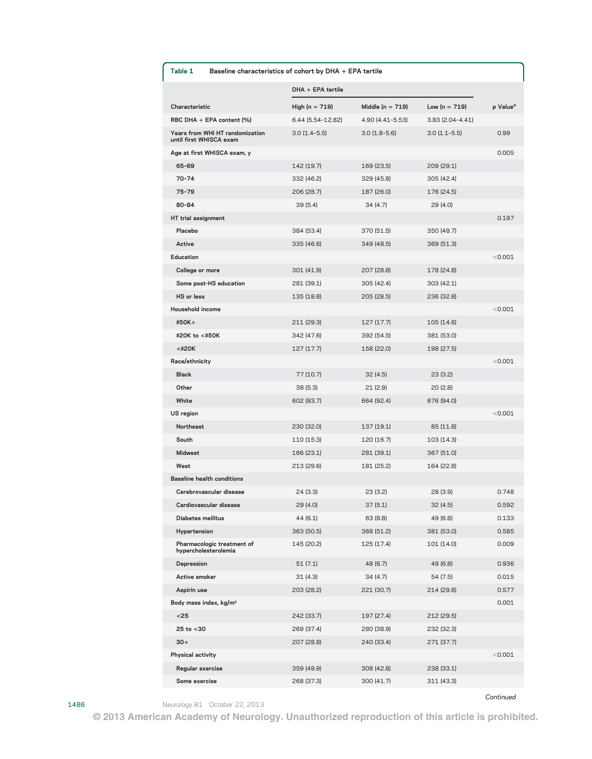| Table 1                                                    | Baseline characteristics of cohort by DHA + EPA tertile |                      |                     |                      |  |
|------------------------------------------------------------|---------------------------------------------------------|----------------------|---------------------|----------------------|--|
|                                                            | $DHA + EPA$ tertile                                     |                      |                     |                      |  |
| Characteristic                                             | High ( $n = 719$ )                                      | Middle ( $n = 719$ ) | Low $(n = 719)$     | p Value <sup>a</sup> |  |
| RBC DHA + EPA content (%)                                  | 6.44 (5.54-12.82)                                       | 4.90 (4.41-5.53)     | $3.83(2.04 - 4.41)$ |                      |  |
| Years from WHI HT randomization<br>until first WHISCA exam | $3.0(1.4-5.5)$                                          | $3.0(1.8-5.6)$       | $3.0(1.1-5.5)$      | 0.99                 |  |
| Age at first WHISCA exam, y                                |                                                         |                      |                     | 0.005                |  |
| 65-69                                                      | 142 (19.7)                                              | 169 (23.5)           | 209 (29.1)          |                      |  |
| $70 - 74$                                                  | 332 (46.2)                                              | 329 (45.8)           | 305 (42.4)          |                      |  |
| 75-79                                                      | 206 (28.7)                                              | 187 (26.0)           | 176 (24.5)          |                      |  |
| 80-84                                                      | 39 (5.4)                                                | 34 (4.7)             | 29 (4.0)            |                      |  |
| HT trial assignment                                        |                                                         |                      |                     | 0.197                |  |
| Placebo                                                    | 384 (53.4)                                              | 370 (51.5)           | 350 (48.7)          |                      |  |
| Active                                                     | 335 (46.6)                                              | 349 (48.5)           | 369 (51.3)          |                      |  |
| Education                                                  |                                                         |                      |                     | < 0.001              |  |
| College or more                                            | 301 (41.9)                                              | 207 (28.8)           | 178 (24.8)          |                      |  |
| Some post-HS education                                     | 281 (39.1)                                              | 305 (42.4)           | 303 (42.1)          |                      |  |
| <b>HS</b> or less                                          | 135 (18.8)                                              | 205 (28.5)           | 236 (32.8)          |                      |  |
| Household income                                           |                                                         |                      |                     | < 0.001              |  |
| $$50K+$                                                    | 211 (29.3)                                              | 127 (17.7)           | 105 (14.6)          |                      |  |
| \$20K to <\$50K                                            | 342 (47.6)                                              | 392 (54.5)           | 381 (53.0)          |                      |  |
| <\$20K                                                     | 127 (17.7)                                              | 158 (22.0)           | 198 (27.5)          |                      |  |
| Race/ethnicity                                             |                                                         |                      |                     | < 0.001              |  |
| <b>Black</b>                                               | 77 (10.7)                                               | 32(4.5)              | 23 (3.2)            |                      |  |
| Other                                                      | 38(5.3)                                                 | 21 (2.9)             | 20 (2.8)            |                      |  |
| White                                                      | 602 (83.7)                                              | 664 (92.4)           | 676 (94.0)          |                      |  |
| US region                                                  |                                                         |                      |                     | < 0.001              |  |
| <b>Northeast</b>                                           | 230 (32.0)                                              | 137 (19.1)           | 85 (11.8)           |                      |  |
| South                                                      | 110 (15.3)                                              | 120 (16.7)           | 103 (14.3)          |                      |  |
| <b>Midwest</b>                                             | 166 (23.1)                                              | 281 (39.1)           | 367 (51.0)          |                      |  |
| West                                                       | 213 (29.6)                                              | 181 (25.2)           | 164 (22.8)          |                      |  |
| <b>Baseline health conditions</b>                          |                                                         |                      |                     |                      |  |
| Cerebrovascular disease                                    | 24 (3.3)                                                | 23 (3.2)             | 28 (3.9)            | 0.748                |  |
| Cardiovascular disease                                     | 29 (4.0)                                                | 37(5.1)              | 32(4.5)             | 0.592                |  |
| <b>Diabetes mellitus</b>                                   | 44 (6.1)                                                | 63 (8.8)             | 49 (6.8)            | 0.133                |  |
| Hypertension                                               | 363 (50.5)                                              | 368 (51.2)           | 381 (53.0)          | 0.585                |  |
| Pharmacologic treatment of<br>hypercholesterolemia         | 145 (20.2)                                              | 125 (17.4)           | 101 (14.0)          | 0.009                |  |
| Depression                                                 | 51(7.1)                                                 | 48 (6.7)             | 49 (6.8)            | 0.936                |  |
| Active smoker                                              | 31(4.3)                                                 | 34 (4.7)             | 54 (7.5)            | 0.015                |  |
| Aspirin use                                                | 203 (28.2)                                              | 221 (30.7)           | 214 (29.8)          | 0.577                |  |
| Body mass index, kg/m <sup>2</sup>                         |                                                         |                      |                     | 0.001                |  |
| $25$                                                       | 242 (33.7)                                              | 197 (27.4)           | 212 (29.5)          |                      |  |
| $25$ to $< 30$                                             | 269 (37.4)                                              | 280 (38.9)           | 232 (32.3)          |                      |  |
| $30+$                                                      | 207 (28.8)                                              | 240 (33.4)           | 271 (37.7)          |                      |  |
| Physical activity                                          |                                                         |                      |                     | < 0.001              |  |
| Regular exercise                                           | 359 (49.9)                                              | 308 (42.8)           | 238 (33.1)          |                      |  |
| Some exercise                                              | 268 (37.3)                                              | 300 (41.7)           | 311 (43.3)          |                      |  |

1486 Neurology 81 October 22, 2013

Continued

 $@$  2013 American Academy of Neurology. Unauthorized reproduction of this article is prohibited.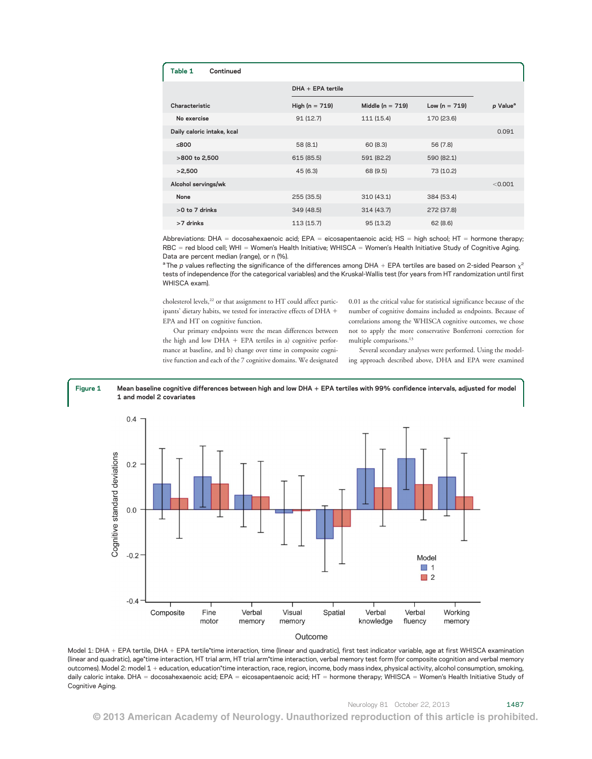| Continued<br>Table 1       |                    |                      |                 |                      |  |
|----------------------------|--------------------|----------------------|-----------------|----------------------|--|
|                            | DHA + EPA tertile  |                      |                 |                      |  |
| Characteristic             | High ( $n = 719$ ) | Middle ( $n = 719$ ) | Low $(n = 719)$ | p Value <sup>a</sup> |  |
| No exercise                | 91(12.7)           | 111 (15.4)           | 170 (23.6)      |                      |  |
| Daily caloric intake, kcal |                    |                      |                 | 0.091                |  |
| ≤800                       | 58(8.1)            | 60 (8.3)             | 56 (7.8)        |                      |  |
| >800 to 2,500              | 615 (85.5)         | 591 (82.2)           | 590 (82.1)      |                      |  |
| >2,500                     | 45(6.3)            | 68 (9.5)             | 73 (10.2)       |                      |  |
| Alcohol servings/wk        |                    |                      |                 | < 0.001              |  |
| None                       | 255 (35.5)         | 310 (43.1)           | 384 (53.4)      |                      |  |
| $>0$ to $7$ drinks         | 349 (48.5)         | 314(43.7)            | 272 (37.8)      |                      |  |
| >7 drinks                  | 113 (15.7)         | 95 (13.2)            | 62(8.6)         |                      |  |

Abbreviations: DHA = docosahexaenoic acid: EPA = eicosapentaenoic acid: HS = high school; HT = hormone therapy; RBC = red blood cell; WHI = Women's Health Initiative; WHISCA = Women's Health Initiative Study of Cognitive Aging. Data are percent median (range), or n (%).

<sup>a</sup> The p values reflecting the significance of the differences among DHA + EPA tertiles are based on 2-sided Pearson  $\chi^2$ tests of independence (for the categorical variables) and the Kruskal-Wallis test (for years from HT randomization until first WHISCA exam).

cholesterol levels,<sup>22</sup> or that assignment to HT could affect participants' dietary habits, we tested for interactive effects of DHA + EPA and HT on cognitive function.

Our primary endpoints were the mean differences between the high and low  $DHA + EPA$  tertiles in a) cognitive performance at baseline, and b) change over time in composite cognitive function and each of the 7 cognitive domains. We designated 0.01 as the critical value for statistical significance because of the number of cognitive domains included as endpoints. Because of correlations among the WHISCA cognitive outcomes, we chose not to apply the more conservative Bonferroni correction for multiple comparisons.13

Several secondary analyses were performed. Using the modeling approach described above, DHA and EPA were examined





Model 1: DHA + EPA tertile, DHA + EPA tertile\*time interaction, time (linear and quadratic), first test indicator variable, age at first WHISCA examination (linear and quadratic), age\*time interaction, HT trial arm, HT trial arm\*time interaction, verbal memory test form (for composite cognition and verbal memory outcomes). Model 2: model 1 + education, education\*time interaction, race, region, income, body mass index, physical activity, alcohol consumption, smoking, daily caloric intake. DHA = docosahexaenoic acid; EPA = eicosapentaenoic acid; HT = hormone therapy; WHISCA = Women's Health Initiative Study of Cognitive Aging.

© 2013 American Academy of Neurology. Unauthorized reproduction of this article is prohibited.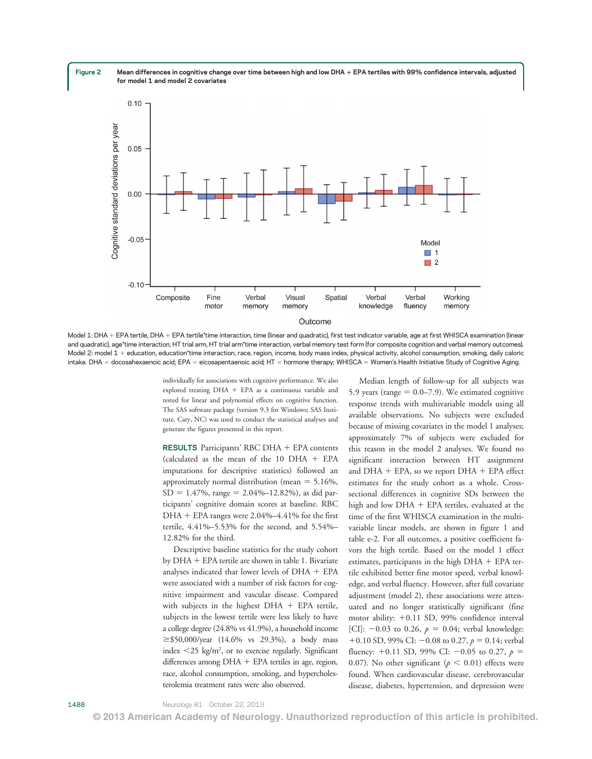Figure 2 Mean differences in cognitive change over time between high and low DHA + EPA tertiles with 99% confidence intervals, adjusted for model 1 and model 2 covariates



Model 1: DHA + EPA tertile, DHA + EPA tertile\*time interaction, time (linear and quadratic), first test indicator variable, age at first WHISCA examination (linear and quadratic), age\*time interaction, HT trial arm, HT trial arm\*time interaction, verbal memory test form (for composite cognition and verbal memory outcomes). Model 2: model 1 + education, education\*time interaction, race, region, income, body mass index, physical activity, alcohol consumption, smoking, daily caloric intake. DHA = docosahexaenoic acid; EPA = eicosapentaenoic acid; HT = hormone therapy; WHISCA = Women's Health Initiative Study of Cognitive Aging.

individually for associations with cognitive performance. We also explored treating  $DHA + EPA$  as a continuous variable and tested for linear and polynomial effects on cognitive function. The SAS software package (version 9.3 for Windows; SAS Institute, Cary, NC) was used to conduct the statistical analyses and generate the figures presented in this report.

**RESULTS** Participants' RBC DHA  $+$  EPA contents (calculated as the mean of the 10 DHA  $+$  EPA imputations for descriptive statistics) followed an approximately normal distribution (mean  $=$  5.16%,  $SD = 1.47\%$ , range = 2.04%–12.82%), as did participants' cognitive domain scores at baseline. RBC DHA + EPA ranges were  $2.04\% - 4.41\%$  for the first tertile, 4.41%–5.53% for the second, and 5.54%– 12.82% for the third.

Descriptive baseline statistics for the study cohort by  $DHA + EPA$  tertile are shown in table 1. Bivariate analyses indicated that lower levels of  $DHA + EPA$ were associated with a number of risk factors for cognitive impairment and vascular disease. Compared with subjects in the highest  $DHA + EPA$  tertile, subjects in the lowest tertile were less likely to have a college degree (24.8% vs 41.9%), a household income  $\ge$ \$50,000/year (14.6% vs 29.3%), a body mass index  $\leq$  25 kg/m<sup>2</sup>, or to exercise regularly. Significant differences among  $DHA + EPA$  tertiles in age, region, race, alcohol consumption, smoking, and hypercholesterolemia treatment rates were also observed.

Median length of follow-up for all subjects was 5.9 years (range  $= 0.0 - 7.9$ ). We estimated cognitive response trends with multivariable models using all available observations. No subjects were excluded because of missing covariates in the model 1 analyses; approximately 7% of subjects were excluded for this reason in the model 2 analyses. We found no significant interaction between HT assignment and  $DHA + EPA$ , so we report  $DHA + EPA$  effect estimates for the study cohort as a whole. Crosssectional differences in cognitive SDs between the high and low  $DHA + EPA$  tertiles, evaluated at the time of the first WHISCA examination in the multivariable linear models, are shown in figure 1 and table e-2. For all outcomes, a positive coefficient favors the high tertile. Based on the model 1 effect estimates, participants in the high  $DHA + EPA$  tertile exhibited better fine motor speed, verbal knowledge, and verbal fluency. However, after full covariate adjustment (model 2), these associations were attenuated and no longer statistically significant (fine motor ability:  $+0.11$  SD, 99% confidence interval [CI]:  $-0.03$  to 0.26,  $p = 0.04$ ; verbal knowledge: +0.10 SD, 99% CI:  $-0.08$  to 0.27,  $p = 0.14$ ; verbal fluency: +0.11 SD, 99% CI: -0.05 to 0.27,  $p =$ 0.07). No other significant ( $p < 0.01$ ) effects were found. When cardiovascular disease, cerebrovascular disease, diabetes, hypertension, and depression were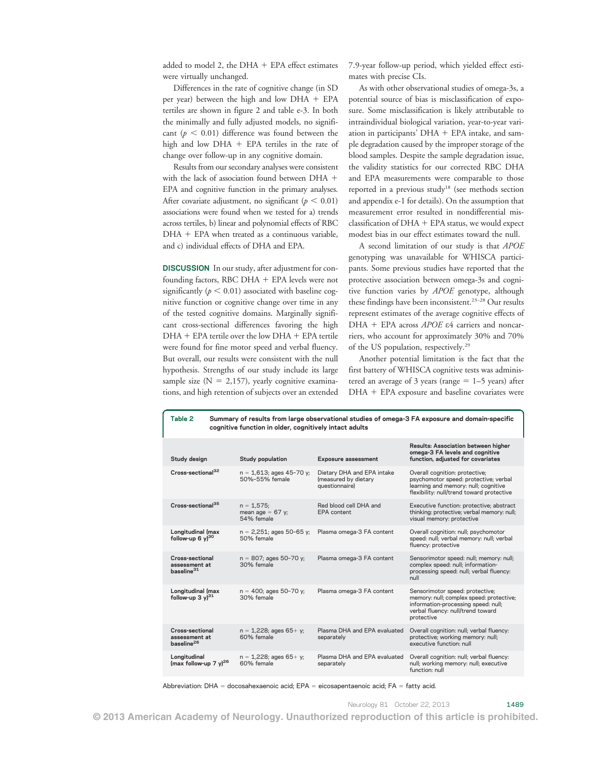added to model 2, the  $DHA + EPA$  effect estimates were virtually unchanged.

Differences in the rate of cognitive change (in SD per year) between the high and low  $DHA + EPA$ tertiles are shown in figure 2 and table e-3. In both the minimally and fully adjusted models, no significant ( $p < 0.01$ ) difference was found between the high and low  $DHA + EPA$  tertiles in the rate of change over follow-up in any cognitive domain.

Results from our secondary analyses were consistent with the lack of association found between  $DHA +$ EPA and cognitive function in the primary analyses. After covariate adjustment, no significant ( $p < 0.01$ ) associations were found when we tested for a) trends across tertiles, b) linear and polynomial effects of RBC  $DHA$  + EPA when treated as a continuous variable, and c) individual effects of DHA and EPA.

DISCUSSION In our study, after adjustment for confounding factors, RBC DHA  $+$  EPA levels were not significantly ( $p < 0.01$ ) associated with baseline cognitive function or cognitive change over time in any of the tested cognitive domains. Marginally significant cross-sectional differences favoring the high  $DHA + EPA$  tertile over the low  $DHA + EPA$  tertile were found for fine motor speed and verbal fluency. But overall, our results were consistent with the null hypothesis. Strengths of our study include its large sample size  $(N = 2,157)$ , yearly cognitive examinations, and high retention of subjects over an extended 7.9-year follow-up period, which yielded effect estimates with precise CIs.

As with other observational studies of omega-3s, a potential source of bias is misclassification of exposure. Some misclassification is likely attributable to intraindividual biological variation, year-to-year variation in participants'  $DHA + EPA$  intake, and sample degradation caused by the improper storage of the blood samples. Despite the sample degradation issue, the validity statistics for our corrected RBC DHA and EPA measurements were comparable to those reported in a previous study<sup>18</sup> (see methods section and appendix e-1 for details). On the assumption that measurement error resulted in nondifferential misclassification of  $DHA + EPA$  status, we would expect modest bias in our effect estimates toward the null.

A second limitation of our study is that APOE genotyping was unavailable for WHISCA participants. Some previous studies have reported that the protective association between omega-3s and cognitive function varies by APOE genotype, although these findings have been inconsistent.<sup>23-28</sup> Our results represent estimates of the average cognitive effects of DHA + EPA across  $APOE$   $\epsilon$ 4 carriers and noncarriers, who account for approximately 30% and 70% of the US population, respectively.29

Another potential limitation is the fact that the first battery of WHISCA cognitive tests was administered an average of 3 years (range  $= 1-5$  years) after  $DHA + EPA$  exposure and baseline covariates were

| cognitive function in older, cognitively intact adults                                                                                                       |                     |                                                                      |                                                   |                                                            |  |
|--------------------------------------------------------------------------------------------------------------------------------------------------------------|---------------------|----------------------------------------------------------------------|---------------------------------------------------|------------------------------------------------------------|--|
| Results: Association between higher<br>omega-3 FA levels and cognitive<br>function, adjusted for covariates                                                  |                     | <b>Exposure assessment</b>                                           | <b>Study population</b>                           | Study design                                               |  |
| Overall cognition: protective;<br>psychomotor speed: protective; verbal<br>learning and memory: null; cognitive<br>flexibility: null/trend toward protective |                     | Dietary DHA and EPA intake<br>(measured by dietary<br>questionnaire) | $n = 1,613$ ; ages 45-70 y;<br>50%-55% female     | Cross-sectional <sup>32</sup>                              |  |
| Executive function: protective; abstract<br>thinking: protective; verbal memory: null;<br>visual memory: protective                                          |                     | Red blood cell DHA and<br>EPA content                                | $n = 1,575$ ;<br>mean age = $67$ y;<br>54% female | Cross-sectional <sup>35</sup>                              |  |
| Overall cognition: null; psychomotor<br>speed: null; verbal memory: null; verbal                                                                             | fluency: protective | Plasma omega-3 FA content                                            | $n = 2,251$ ; ages 50-65 y;<br>50% female         | Longitudinal (max<br>follow-up 6 $y$ <sup>30</sup>         |  |
| Sensorimotor speed: null; memory: null;<br>complex speed: null; information-<br>processing speed: null; verbal fluency:                                      | null                | Plasma omega-3 FA content                                            | $n = 807$ ; ages 50-70 y;<br>30% female           | Cross-sectional<br>assessment at<br>baseline <sup>31</sup> |  |
| Sensorimotor speed: protective;<br>memory: null; complex speed: protective;<br>information-processing speed: null;<br>verbal fluency: null/trend toward      | protective          | Plasma omega-3 FA content                                            | $n = 400$ ; ages 50-70 y;<br>30% female           | Longitudinal (max<br>follow-up $3y)^{31}$                  |  |
| Overall cognition: null; verbal fluency:<br>protective; working memory: null;<br>executive function: null                                                    |                     | Plasma DHA and EPA evaluated<br>separately                           | $n = 1,228$ ; ages 65+ y;<br>60% female           | Cross-sectional<br>assessment at<br>baseline <sup>26</sup> |  |
| Overall cognition: null; verbal fluency:<br>null; working memory: null; executive                                                                            | function: null      | Plasma DHA and EPA evaluated<br>separately                           | $n = 1,228$ ; ages 65+ y;<br>60% female           | Longitudinal<br>(max follow-up 7 $y$ ) <sup>26</sup>       |  |
|                                                                                                                                                              |                     |                                                                      |                                                   |                                                            |  |

Table 2 Summary of results from large observational studies of omega-3 FA exposure and domain-specific

Abbreviation: DHA = docosahexaenoic acid; EPA = eicosapentaenoic acid; FA = fatty acid.

© 2013 American Academy of Neurology. Unauthorized reproduction of this article is prohibited.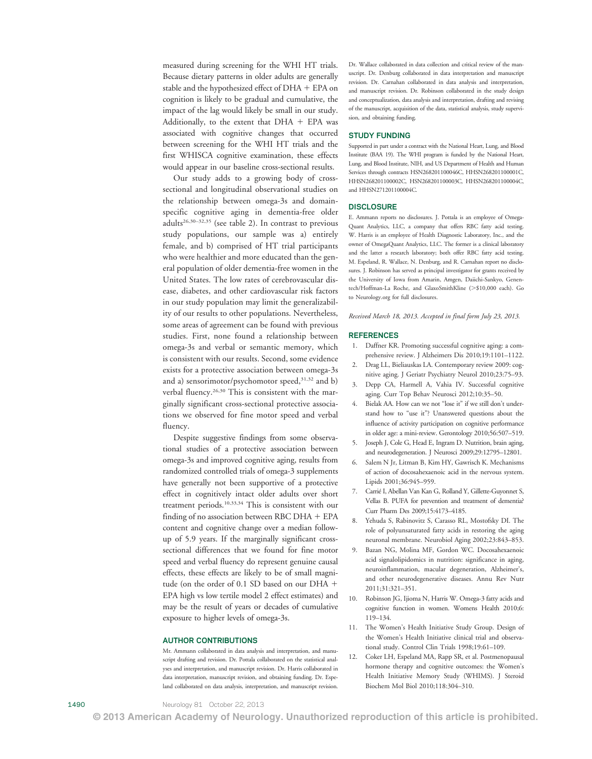measured during screening for the WHI HT trials. Because dietary patterns in older adults are generally stable and the hypothesized effect of  $DHA + EPA$  on cognition is likely to be gradual and cumulative, the impact of the lag would likely be small in our study. Additionally, to the extent that  $DHA + EPA$  was associated with cognitive changes that occurred between screening for the WHI HT trials and the first WHISCA cognitive examination, these effects would appear in our baseline cross-sectional results.

Our study adds to a growing body of crosssectional and longitudinal observational studies on the relationship between omega-3s and domainspecific cognitive aging in dementia-free older adults<sup>26,30–32,35</sup> (see table 2). In contrast to previous study populations, our sample was a) entirely female, and b) comprised of HT trial participants who were healthier and more educated than the general population of older dementia-free women in the United States. The low rates of cerebrovascular disease, diabetes, and other cardiovascular risk factors in our study population may limit the generalizability of our results to other populations. Nevertheless, some areas of agreement can be found with previous studies. First, none found a relationship between omega-3s and verbal or semantic memory, which is consistent with our results. Second, some evidence exists for a protective association between omega-3s and a) sensorimotor/psychomotor speed, $31,32$  and b) verbal fluency.26,30 This is consistent with the marginally significant cross-sectional protective associations we observed for fine motor speed and verbal fluency.

Despite suggestive findings from some observational studies of a protective association between omega-3s and improved cognitive aging, results from randomized controlled trials of omega-3 supplements have generally not been supportive of a protective effect in cognitively intact older adults over short treatment periods.10,33,34 This is consistent with our finding of no association between RBC DHA  $+$  EPA content and cognitive change over a median followup of 5.9 years. If the marginally significant crosssectional differences that we found for fine motor speed and verbal fluency do represent genuine causal effects, these effects are likely to be of small magnitude (on the order of 0.1 SD based on our DHA  $+$ EPA high vs low tertile model 2 effect estimates) and may be the result of years or decades of cumulative exposure to higher levels of omega-3s.

#### AUTHOR CONTRIBUTIONS

Mr. Ammann collaborated in data analysis and interpretation, and manuscript drafting and revision. Dr. Pottala collaborated on the statistical analyses and interpretation, and manuscript revision. Dr. Harris collaborated in data interpretation, manuscript revision, and obtaining funding. Dr. Espeland collaborated on data analysis, interpretation, and manuscript revision.

Dr. Wallace collaborated in data collection and critical review of the manuscript. Dr. Denburg collaborated in data interpretation and manuscript revision. Dr. Carnahan collaborated in data analysis and interpretation, and manuscript revision. Dr. Robinson collaborated in the study design and conceptualization, data analysis and interpretation, drafting and revising of the manuscript, acquisition of the data, statistical analysis, study supervision, and obtaining funding.

#### STUDY FUNDING

Supported in part under a contract with the National Heart, Lung, and Blood Institute (BAA 19). The WHI program is funded by the National Heart, Lung, and Blood Institute, NIH, and US Department of Health and Human Services through contracts HSN268201100046C, HHSN268201100001C, HHSN268201100002C, HSN268201100003C, HHSN268201100004C, and HHSN271201100004C.

#### **DISCLOSURE**

E. Ammann reports no disclosures. J. Pottala is an employee of Omega-Quant Analytics, LLC, a company that offers RBC fatty acid testing. W. Harris is an employee of Health Diagnostic Laboratory, Inc., and the owner of OmegaQuant Analytics, LLC. The former is a clinical laboratory and the latter a research laboratory; both offer RBC fatty acid testing. M. Espeland, R. Wallace, N. Denburg, and R. Carnahan report no disclosures. J. Robinson has served as principal investigator for grants received by the University of Iowa from Amarin, Amgen, Daiichi-Sankyo, Genentech/Hoffman-La Roche, and GlaxoSmithKline (>\$10,000 each). Go to [Neurology.org](http://neurology.org/) for full disclosures.

Received March 18, 2013. Accepted in final form July 23, 2013.

#### **REFERENCES**

- 1. Daffner KR. Promoting successful cognitive aging: a comprehensive review. J Alzheimers Dis 2010;19:1101–1122.
- 2. Drag LL, Bieliauskas LA. Contemporary review 2009: cognitive aging. J Geriatr Psychiatry Neurol 2010;23:75–93.
- 3. Depp CA, Harmell A, Vahia IV. Successful cognitive aging. Curr Top Behav Neurosci 2012;10:35–50.
- 4. Bielak AA. How can we not "lose it" if we still don't understand how to "use it"? Unanswered questions about the influence of activity participation on cognitive performance in older age: a mini-review. Gerontology 2010;56:507–519.
- 5. Joseph J, Cole G, Head E, Ingram D. Nutrition, brain aging, and neurodegeneration. J Neurosci 2009;29:12795–12801.
- 6. Salem N Jr, Litman B, Kim HY, Gawrisch K. Mechanisms of action of docosahexaenoic acid in the nervous system. Lipids 2001;36:945–959.
- 7. Carrié I, Abellan Van Kan G, Rolland Y, Gillette-Guyonnet S, Vellas B. PUFA for prevention and treatment of dementia? Curr Pharm Des 2009;15:4173–4185.
- 8. Yehuda S, Rabinovitz S, Carasso RL, Mostofsky DI. The role of polyunsaturated fatty acids in restoring the aging neuronal membrane. Neurobiol Aging 2002;23:843–853.
- 9. Bazan NG, Molina MF, Gordon WC. Docosahexaenoic acid signalolipidomics in nutrition: significance in aging, neuroinflammation, macular degeneration, Alzheimer's, and other neurodegenerative diseases. Annu Rev Nutr 2011;31:321–351.
- 10. Robinson JG, Ijioma N, Harris W. Omega-3 fatty acids and cognitive function in women. Womens Health 2010;6: 119–134.
- 11. The Women's Health Initiative Study Group. Design of the Women's Health Initiative clinical trial and observational study. Control Clin Trials 1998;19:61–109.
- 12. Coker LH, Espeland MA, Rapp SR, et al. Postmenopausal hormone therapy and cognitive outcomes: the Women's Health Initiative Memory Study (WHIMS). J Steroid Biochem Mol Biol 2010;118:304–310.